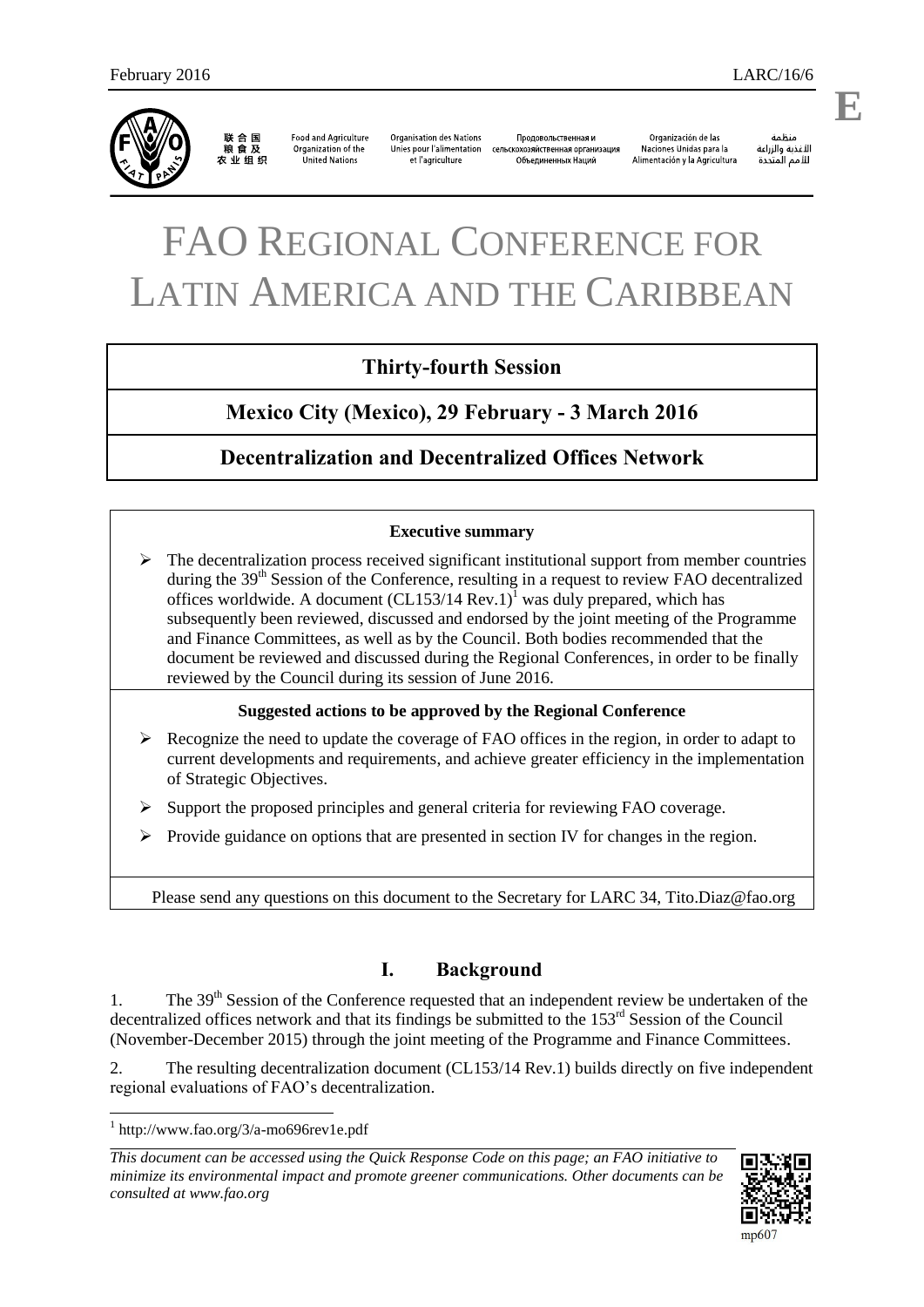

联合国<br>粮食及 农业组织

**Food and Agriculture** Organization of the United Nations

**Organisation des Nations** Unies pour l'alimentation сельскохозяйственная организация et l'agriculture

Продовольственная и Объединенных Наций

Organización de las Naciones Unidas para la Alimentación y la Agricultura

änhin الأغذية والزراعة للأمم المتحدة

# FAO REGIONAL CONFERENCE FOR LATIN AMERICA AND THE CARIBBEAN

## **Thirty-fourth Session**

# **Mexico City (Mexico), 29 February - 3 March 2016**

## **Decentralization and Decentralized Offices Network**

#### **Executive summary**

 $\triangleright$  The decentralization process received significant institutional support from member countries during the  $39<sup>th</sup>$  Session of the Conference, resulting in a request to review FAO decentralized offices worldwide. A document  $(CL153/14 \text{ Rev.1})^1$  was duly prepared, which has subsequently been reviewed, discussed and endorsed by the joint meeting of the Programme and Finance Committees, as well as by the Council. Both bodies recommended that the document be reviewed and discussed during the Regional Conferences, in order to be finally reviewed by the Council during its session of June 2016.

#### **Suggested actions to be approved by the Regional Conference**

- $\triangleright$  Recognize the need to update the coverage of FAO offices in the region, in order to adapt to current developments and requirements, and achieve greater efficiency in the implementation of Strategic Objectives.
- $\triangleright$  Support the proposed principles and general criteria for reviewing FAO coverage.
- $\triangleright$  Provide guidance on options that are presented in section IV for changes in the region.

Please send any questions on this document to the Secretary for LARC 34, [Tito.Diaz@fao.org](mailto:Tito.Diaz@fao.org)

## **I. Background**

1. The 39<sup>th</sup> Session of the Conference requested that an independent review be undertaken of the decentralized offices network and that its findings be submitted to the 153<sup>rd</sup> Session of the Council (November-December 2015) through the joint meeting of the Programme and Finance Committees.

2. The resulting decentralization document (CL153/14 Rev.1) builds directly on five independent regional evaluations of FAO's decentralization.

*This document can be accessed using the Quick Response Code on this page; an FAO initiative to minimize its environmental impact and promote greener communications. Other documents can be consulted at www.fao.org* 



**E**

<sup>1</sup> http://www.fao.org/3/a-mo696rev1e.pdf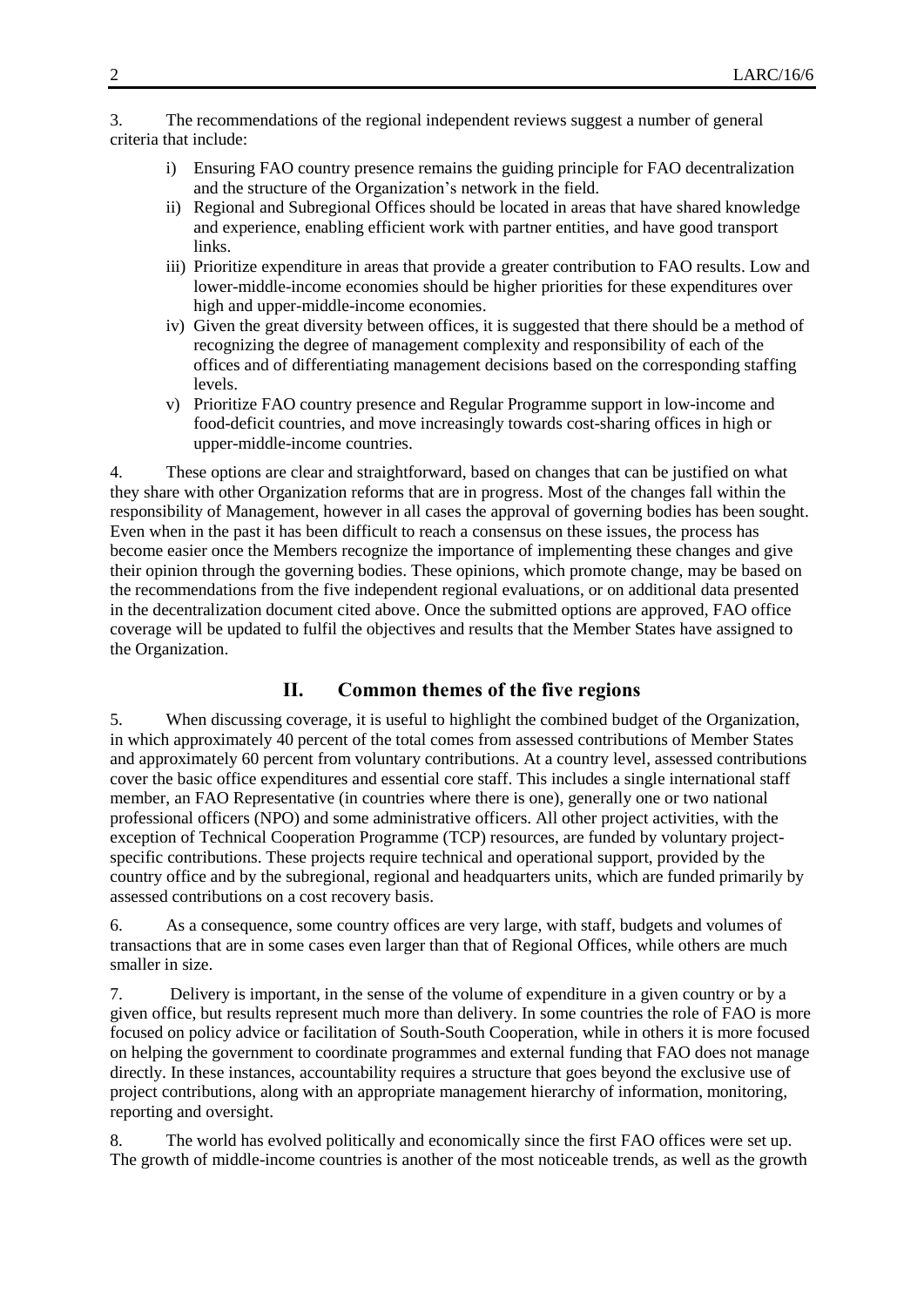3. The recommendations of the regional independent reviews suggest a number of general criteria that include:

- i) Ensuring FAO country presence remains the guiding principle for FAO decentralization and the structure of the Organization's network in the field.
- ii) Regional and Subregional Offices should be located in areas that have shared knowledge and experience, enabling efficient work with partner entities, and have good transport links.
- iii) Prioritize expenditure in areas that provide a greater contribution to FAO results. Low and lower-middle-income economies should be higher priorities for these expenditures over high and upper-middle-income economies.
- iv) Given the great diversity between offices, it is suggested that there should be a method of recognizing the degree of management complexity and responsibility of each of the offices and of differentiating management decisions based on the corresponding staffing levels.
- v) Prioritize FAO country presence and Regular Programme support in low-income and food-deficit countries, and move increasingly towards cost-sharing offices in high or upper-middle-income countries.

4. These options are clear and straightforward, based on changes that can be justified on what they share with other Organization reforms that are in progress. Most of the changes fall within the responsibility of Management, however in all cases the approval of governing bodies has been sought. Even when in the past it has been difficult to reach a consensus on these issues, the process has become easier once the Members recognize the importance of implementing these changes and give their opinion through the governing bodies. These opinions, which promote change, may be based on the recommendations from the five independent regional evaluations, or on additional data presented in the decentralization document cited above. Once the submitted options are approved, FAO office coverage will be updated to fulfil the objectives and results that the Member States have assigned to the Organization.

### **II. Common themes of the five regions**

5. When discussing coverage, it is useful to highlight the combined budget of the Organization, in which approximately 40 percent of the total comes from assessed contributions of Member States and approximately 60 percent from voluntary contributions. At a country level, assessed contributions cover the basic office expenditures and essential core staff. This includes a single international staff member, an FAO Representative (in countries where there is one), generally one or two national professional officers (NPO) and some administrative officers. All other project activities, with the exception of Technical Cooperation Programme (TCP) resources, are funded by voluntary projectspecific contributions. These projects require technical and operational support, provided by the country office and by the subregional, regional and headquarters units, which are funded primarily by assessed contributions on a cost recovery basis.

6. As a consequence, some country offices are very large, with staff, budgets and volumes of transactions that are in some cases even larger than that of Regional Offices, while others are much smaller in size.

7. Delivery is important, in the sense of the volume of expenditure in a given country or by a given office, but results represent much more than delivery. In some countries the role of FAO is more focused on policy advice or facilitation of South-South Cooperation, while in others it is more focused on helping the government to coordinate programmes and external funding that FAO does not manage directly. In these instances, accountability requires a structure that goes beyond the exclusive use of project contributions, along with an appropriate management hierarchy of information, monitoring, reporting and oversight.

8. The world has evolved politically and economically since the first FAO offices were set up. The growth of middle-income countries is another of the most noticeable trends, as well as the growth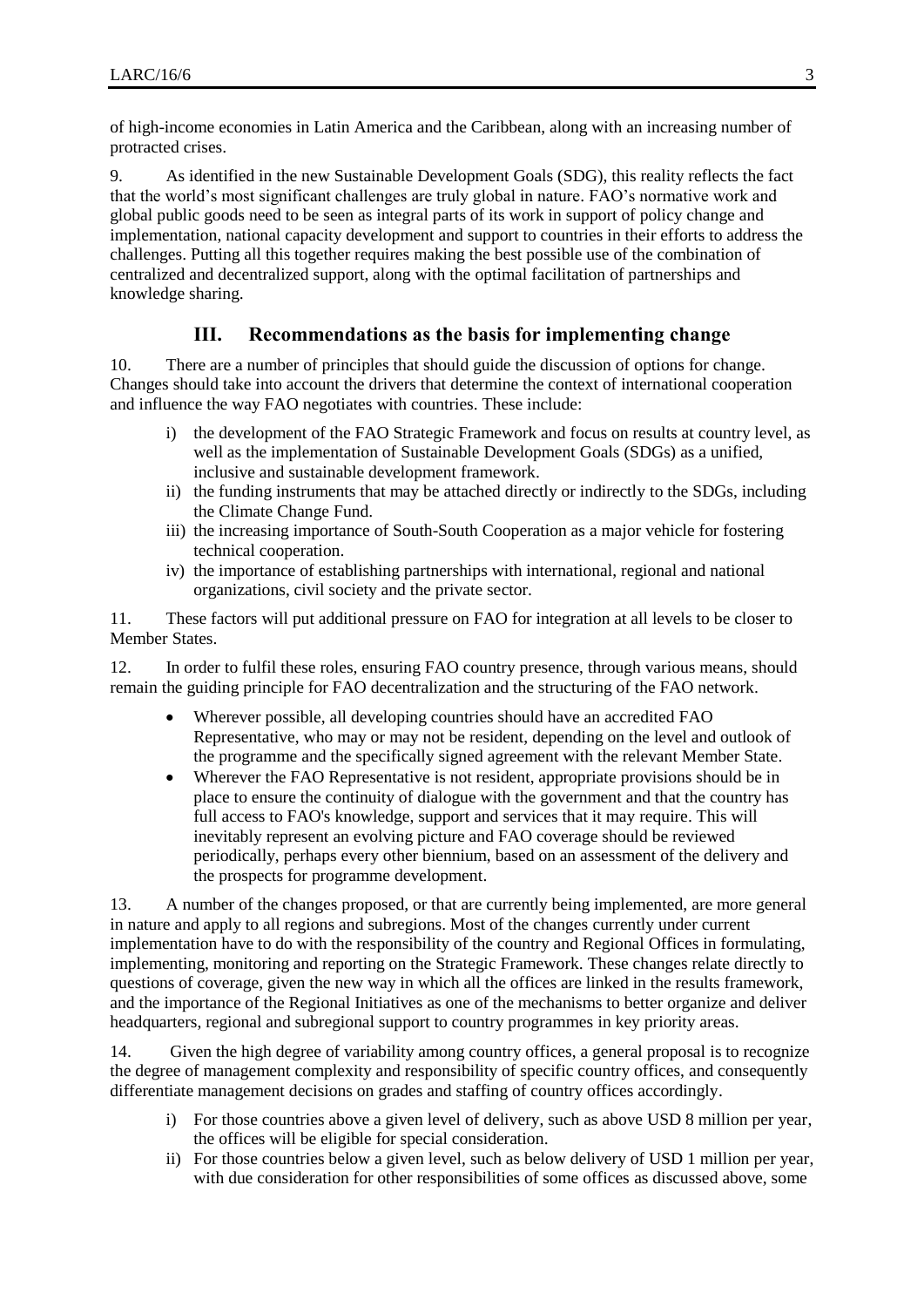of high-income economies in Latin America and the Caribbean, along with an increasing number of protracted crises.

9. As identified in the new Sustainable Development Goals (SDG), this reality reflects the fact that the world's most significant challenges are truly global in nature. FAO's normative work and global public goods need to be seen as integral parts of its work in support of policy change and implementation, national capacity development and support to countries in their efforts to address the challenges. Putting all this together requires making the best possible use of the combination of centralized and decentralized support, along with the optimal facilitation of partnerships and knowledge sharing.

#### **III. Recommendations as the basis for implementing change**

10. There are a number of principles that should guide the discussion of options for change. Changes should take into account the drivers that determine the context of international cooperation and influence the way FAO negotiates with countries. These include:

- i) the development of the FAO Strategic Framework and focus on results at country level, as well as the implementation of Sustainable Development Goals (SDGs) as a unified, inclusive and sustainable development framework.
- ii) the funding instruments that may be attached directly or indirectly to the SDGs, including the Climate Change Fund.
- iii) the increasing importance of South-South Cooperation as a major vehicle for fostering technical cooperation.
- iv) the importance of establishing partnerships with international, regional and national organizations, civil society and the private sector.

11. These factors will put additional pressure on FAO for integration at all levels to be closer to Member States.

12. In order to fulfil these roles, ensuring FAO country presence, through various means, should remain the guiding principle for FAO decentralization and the structuring of the FAO network.

- Wherever possible, all developing countries should have an accredited FAO Representative, who may or may not be resident, depending on the level and outlook of the programme and the specifically signed agreement with the relevant Member State.
- Wherever the FAO Representative is not resident, appropriate provisions should be in place to ensure the continuity of dialogue with the government and that the country has full access to FAO's knowledge, support and services that it may require. This will inevitably represent an evolving picture and FAO coverage should be reviewed periodically, perhaps every other biennium, based on an assessment of the delivery and the prospects for programme development.

13. A number of the changes proposed, or that are currently being implemented, are more general in nature and apply to all regions and subregions. Most of the changes currently under current implementation have to do with the responsibility of the country and Regional Offices in formulating, implementing, monitoring and reporting on the Strategic Framework. These changes relate directly to questions of coverage, given the new way in which all the offices are linked in the results framework, and the importance of the Regional Initiatives as one of the mechanisms to better organize and deliver headquarters, regional and subregional support to country programmes in key priority areas.

14. Given the high degree of variability among country offices, a general proposal is to recognize the degree of management complexity and responsibility of specific country offices, and consequently differentiate management decisions on grades and staffing of country offices accordingly.

- i) For those countries above a given level of delivery, such as above USD 8 million per year, the offices will be eligible for special consideration.
- ii) For those countries below a given level, such as below delivery of USD 1 million per year, with due consideration for other responsibilities of some offices as discussed above, some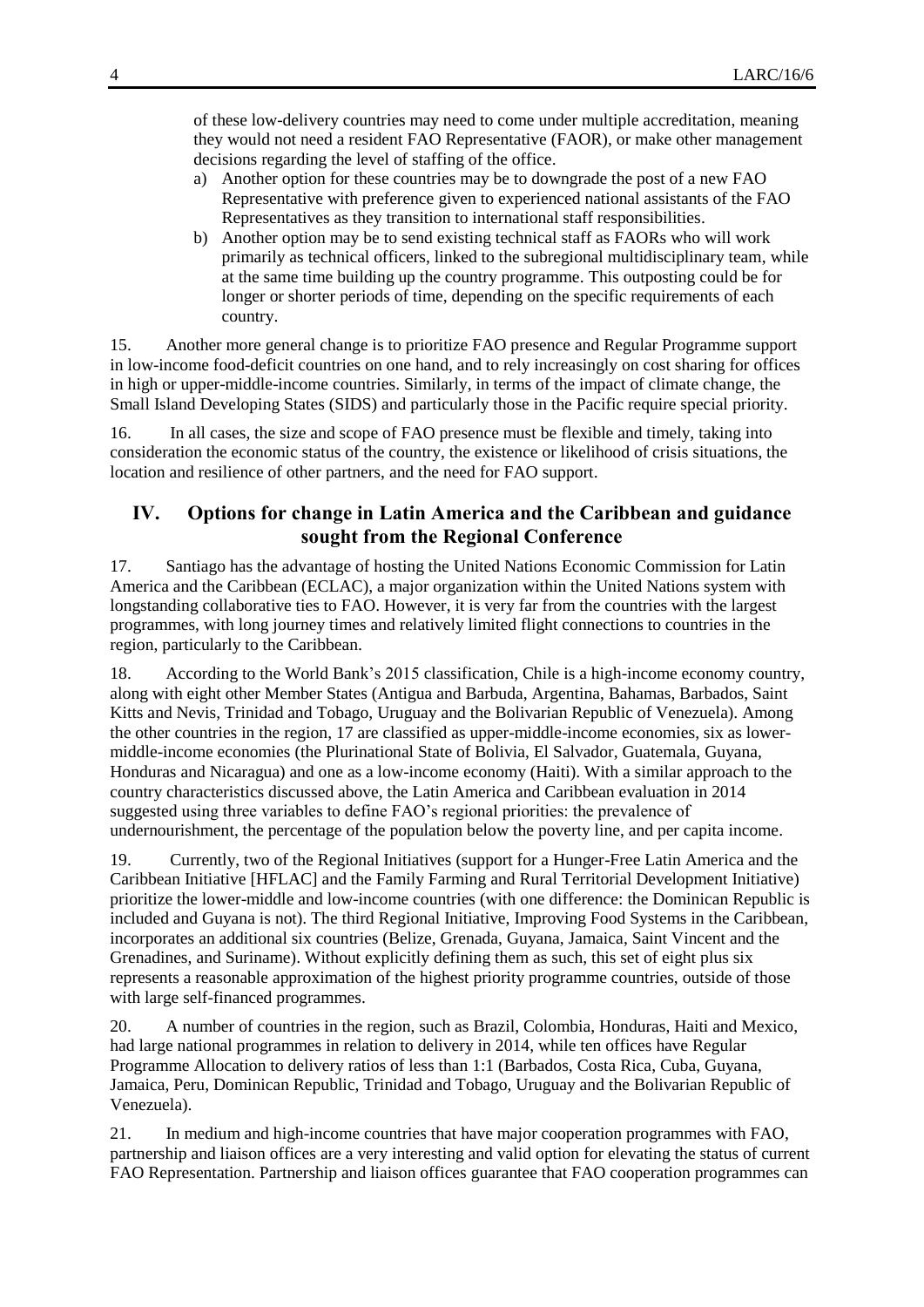of these low-delivery countries may need to come under multiple accreditation, meaning they would not need a resident FAO Representative (FAOR), or make other management decisions regarding the level of staffing of the office.

- a) Another option for these countries may be to downgrade the post of a new FAO Representative with preference given to experienced national assistants of the FAO Representatives as they transition to international staff responsibilities.
- b) Another option may be to send existing technical staff as FAORs who will work primarily as technical officers, linked to the subregional multidisciplinary team, while at the same time building up the country programme. This outposting could be for longer or shorter periods of time, depending on the specific requirements of each country.

15. Another more general change is to prioritize FAO presence and Regular Programme support in low-income food-deficit countries on one hand, and to rely increasingly on cost sharing for offices in high or upper-middle-income countries. Similarly, in terms of the impact of climate change, the Small Island Developing States (SIDS) and particularly those in the Pacific require special priority.

16. In all cases, the size and scope of FAO presence must be flexible and timely, taking into consideration the economic status of the country, the existence or likelihood of crisis situations, the location and resilience of other partners, and the need for FAO support.

## **IV. Options for change in Latin America and the Caribbean and guidance sought from the Regional Conference**

17. Santiago has the advantage of hosting the United Nations Economic Commission for Latin America and the Caribbean (ECLAC), a major organization within the United Nations system with longstanding collaborative ties to FAO. However, it is very far from the countries with the largest programmes, with long journey times and relatively limited flight connections to countries in the region, particularly to the Caribbean.

18. According to the World Bank's 2015 classification, Chile is a high-income economy country, along with eight other Member States (Antigua and Barbuda, Argentina, Bahamas, Barbados, Saint Kitts and Nevis, Trinidad and Tobago, Uruguay and the Bolivarian Republic of Venezuela). Among the other countries in the region, 17 are classified as upper-middle-income economies, six as lowermiddle-income economies (the Plurinational State of Bolivia, El Salvador, Guatemala, Guyana, Honduras and Nicaragua) and one as a low-income economy (Haiti). With a similar approach to the country characteristics discussed above, the Latin America and Caribbean evaluation in 2014 suggested using three variables to define FAO's regional priorities: the prevalence of undernourishment, the percentage of the population below the poverty line, and per capita income.

19. Currently, two of the Regional Initiatives (support for a Hunger-Free Latin America and the Caribbean Initiative [HFLAC] and the Family Farming and Rural Territorial Development Initiative) prioritize the lower-middle and low-income countries (with one difference: the Dominican Republic is included and Guyana is not). The third Regional Initiative, Improving Food Systems in the Caribbean, incorporates an additional six countries (Belize, Grenada, Guyana, Jamaica, Saint Vincent and the Grenadines, and Suriname). Without explicitly defining them as such, this set of eight plus six represents a reasonable approximation of the highest priority programme countries, outside of those with large self-financed programmes.

20. A number of countries in the region, such as Brazil, Colombia, Honduras, Haiti and Mexico, had large national programmes in relation to delivery in 2014, while ten offices have Regular Programme Allocation to delivery ratios of less than 1:1 (Barbados, Costa Rica, Cuba, Guyana, Jamaica, Peru, Dominican Republic, Trinidad and Tobago, Uruguay and the Bolivarian Republic of Venezuela).

21. In medium and high-income countries that have major cooperation programmes with FAO, partnership and liaison offices are a very interesting and valid option for elevating the status of current FAO Representation. Partnership and liaison offices guarantee that FAO cooperation programmes can